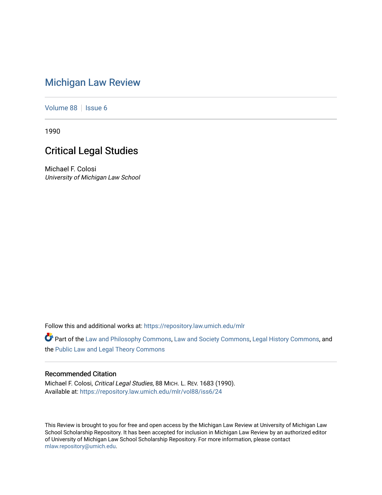## [Michigan Law Review](https://repository.law.umich.edu/mlr)

[Volume 88](https://repository.law.umich.edu/mlr/vol88) | [Issue 6](https://repository.law.umich.edu/mlr/vol88/iss6)

1990

## Critical Legal Studies

Michael F. Colosi University of Michigan Law School

Follow this and additional works at: [https://repository.law.umich.edu/mlr](https://repository.law.umich.edu/mlr?utm_source=repository.law.umich.edu%2Fmlr%2Fvol88%2Fiss6%2F24&utm_medium=PDF&utm_campaign=PDFCoverPages) 

Part of the [Law and Philosophy Commons,](http://network.bepress.com/hgg/discipline/1299?utm_source=repository.law.umich.edu%2Fmlr%2Fvol88%2Fiss6%2F24&utm_medium=PDF&utm_campaign=PDFCoverPages) [Law and Society Commons](http://network.bepress.com/hgg/discipline/853?utm_source=repository.law.umich.edu%2Fmlr%2Fvol88%2Fiss6%2F24&utm_medium=PDF&utm_campaign=PDFCoverPages), [Legal History Commons,](http://network.bepress.com/hgg/discipline/904?utm_source=repository.law.umich.edu%2Fmlr%2Fvol88%2Fiss6%2F24&utm_medium=PDF&utm_campaign=PDFCoverPages) and the [Public Law and Legal Theory Commons](http://network.bepress.com/hgg/discipline/871?utm_source=repository.law.umich.edu%2Fmlr%2Fvol88%2Fiss6%2F24&utm_medium=PDF&utm_campaign=PDFCoverPages)

## Recommended Citation

Michael F. Colosi, Critical Legal Studies, 88 MICH. L. REV. 1683 (1990). Available at: [https://repository.law.umich.edu/mlr/vol88/iss6/24](https://repository.law.umich.edu/mlr/vol88/iss6/24?utm_source=repository.law.umich.edu%2Fmlr%2Fvol88%2Fiss6%2F24&utm_medium=PDF&utm_campaign=PDFCoverPages) 

This Review is brought to you for free and open access by the Michigan Law Review at University of Michigan Law School Scholarship Repository. It has been accepted for inclusion in Michigan Law Review by an authorized editor of University of Michigan Law School Scholarship Repository. For more information, please contact [mlaw.repository@umich.edu.](mailto:mlaw.repository@umich.edu)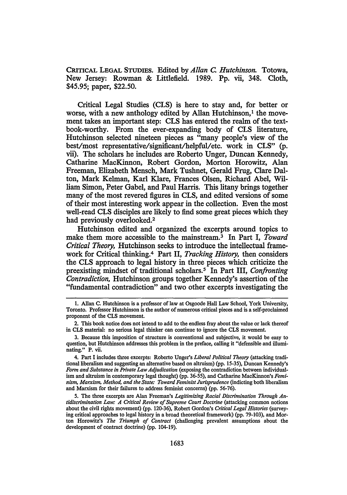CRITICAL LEGAL STUDIES. Edited by *Allan C. Hutchinson.* Totowa, New Jersey: Rowman & Littlefield. 1989. Pp. vii, 348. Cloth, \$45.95; paper, \$22.50.

Critical Legal Studies (CLS) is here to stay and, for better or worse, with a new anthology edited by Allan Hutchinson,<sup>1</sup> the movement takes an important step: CLS has entered the realm of the textbook-worthy. From the ever-expanding body of CLS literature, Hutchinson selected nineteen pieces as "many people's view of the best/most representative/significant/helpful/etc. work in CLS" (p. vii). The scholars he includes are Roberto Unger, Duncan Kennedy, Catharine MacKinnon, Robert Gordon, Morton Horowitz, Alan Freeman, Elizabeth Mensch, Mark Tushnet, Gerald Frug, Clare Dalton, Mark Kelman, Karl Klare, Frances Olsen, Richard Abel, William Simon, Peter Gabel, and Paul Harris. This litany brings together many of the most revered figures in CLS, and edited versions of some of their most interesting work appear in the collection. Even the most well-read CLS disciples are likely to find some great pieces which they had previously overlooked.2

Hutchinson edited and organized the excerpts around topics to make them more accessible to the mainstream. 3 In Part I, *Toward Critical Theory,* Hutchinson seeks to introduce the intellectual framework for Critical thinking.4 Part II, *Tracking History,* then considers the CLS approach to legal history in three pieces which criticize the preexisting mindset of traditional scholars.<sup>5</sup> In Part III, *Confronting Contradiction,* Hutchinson groups together Kennedy's assertion of the "fundamental contradiction" and two other excerpts investigating the

<sup>1.</sup> Allan C. Hutchinson is a professor of law at Osgoode Hall Law School, York University, Toronto. Professor Hutchinson is the author of numerous critical pieces and is a self-proclaimed proponent of the CLS movement.

<sup>2.</sup> This book notice does not intend to add to the endless fray about the value or lack thereof in CLS material: no serious legal thinker can continue to ignore the CLS movement.

<sup>3.</sup> Because this imposition of structure is conventional and subjective, it would be easy to question, but Hutchinson addresses this problem in the preface, calling it "defensible and illuminating." P. vii.

<sup>4.</sup> Part I includes three excerpts: Roberto Unger's *Liberal Political Theory* (attacking traditional liberalism and suggesting an alternative based on altruism) (pp. 15-35), Duncan Kennedy's *Form and Substance in Private Law Adjudication* (exposing the contradiction between individualism and altruism in contemporary legal thought) (pp. 36-55), and Catharine MacKinnon's *Feminism, Marxism, Method, and the State: Toward Feminist Jurisprudence* (indicting both liberalism and Marxism for their failures to address feminist concerns) (pp. 56-76).

<sup>5.</sup> The three excerpts are Alan Freeman's *Legitimizing Racial Discrimination Through Antidiscrimination Law: A Critical Review of Supreme Court Doctrine* (attacking common notions about the civil rights movement) (pp. 120-36), Robert Gordon's *Critical Legal Histories* (surveying critical approaches to legal history in a broad theoretical framework) (pp. 79-103), and Morton Horowitz's *The Triumph of Contract* (challenging prevalent assumptions about the development of contract doctrine) (pp. 104-19).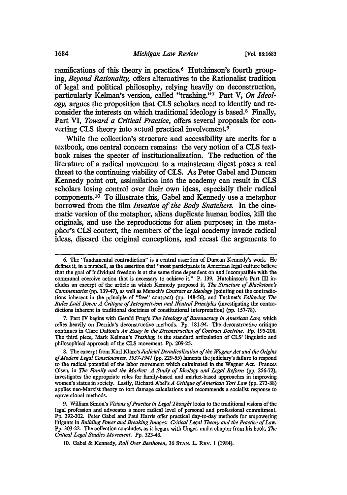ramifications of this theory in practice.<sup>6</sup> Hutchinson's fourth grouping, *Beyond Rationality,* offers alternatives to the Rationalist tradition of legal and political philosophy, relying heavily on deconstruction, particularly Kelman's version, called "trashing."7 Part V, *On Ideology,* argues the proposition that CLS scholars need to identify and reconsider the interests on which traditional ideology is based. 8 Finally, Part VI, *Toward a Critical Practice,* offers several proposals for converting CLS theory into actual practical involvement.<sup>9</sup>

While the collection's structure and accessibility are merits for a textbook, one central concern remains: the very notion of a CLS textbook raises the specter of institutionalization. The reduction of the literature of a radical movement to a mainstream digest poses a real threat to the continuing viability of CLS. As Peter Gabel and Duncan Kennedy point out, assimilation into the academy can result in CLS scholars losing control over their own ideas, especially their radical components. 10 To illustrate this, Gabel and Kennedy use a metaphor borrowed from the film *Invasion of the Body Snatchers.* In the cinematic version of the metaphor, aliens duplicate human bodies, kill the originals, and use the reproductions for alien purposes; in the metaphor's CLS context, the members of the legal academy invade radical ideas, discard the original conceptions, and recast the arguments to

7. Part IV begins with Gerald Frug's *The Ideology of Bureaucracy in American Law,* which relies heavily on Derrida's deconstructive methods. Pp. 181-94. The deconstructive critique continues in Clare Dalton's *An Essay in the Deconstruction of Contract Doctrine.* Pp. 195-208. The third piece, Mark Kelman's *Trashing,* is the standard articulation of CLS' linguistic and philosophical approach of the CLS movement. Pp. 209~25.

8: The excerpt from Karl Klare's *Judicial Deradicalization of the Wagner Act and the Origins of Modem Legal Consciousness, 1937-1941* (pp. 229-55) laments the judiciary's failure to respond to the radical potential of the labor movement which culminated in the Wagner Act. Frances Olsen, in *The Family and the Market: A Study of Ideology and Legal Reform* (pp. 256-72), investigates the appropriate roles for family-based and market-based approaches in improving women's status in society. Lastly, Richard Abel's *A Critique of American Tort Law* (pp. 273-88) applies nee-Marxist theory to tort damage calculations and recommends a socialist response to conventional methods.

9. William Simon's *Visions of Practice in Legal Thought* looks to the traditional visions of the legal profession and advocates a more radical level of personal and professional commitment. Pp. 292-302. Peter Gabel and Paul Harris offer practical day-to-day methods for empowering litigants in *Building Power and Breaking Images: Critical Legal Theory and the Practice of Law.*  Pp. 303-22. The collection concludes, as it began, with Unger, and a chapter from his book, *The Critical Legal Studies Movement.* Pp. 323-43.

10. Gabel & Kennedy, *Roll Over Beethoven,* 36 STAN. L. REV. 1 (1984).

<sup>6.</sup> The "fundamental contradiction" is a central assertion of Duncan Kennedy's work. He defines it, in a nutshell, as the assertion that "most participants in American legal culture believe that the goal of individual freedom is at the same time dependent on and incompatible with the communal coercive action that is necessary to achieve it." P. 139. Hutchinson's Part III includes an excerpt of the article in which Kennedy proposed it, *The Structure of Blackstone's Commentaries* (pp. 139-47), as well as Mensch's *Contract as Ideology* (pointing out the contradictions inherent in the principle of "free" contract) (pp. 148-56), and Tushnet's *Following The Rules Laid Down: A Critique of Interpretivism and Neutral Principles* (investigating the contradictions inherent in traditional doctrines of constitutional interpretation) (pp. 157-78).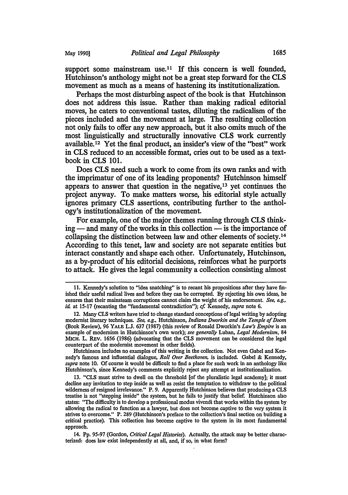support some mainstream use.<sup>11</sup> If this concern is well founded, Hutchinson's anthology might not be a great step forward for the CLS movement as much as a means of hastening its institutionalization.

Perhaps the most disturbing aspect of the book is that Hutchinson does not address this issue. Rather than making radical editorial moves, he caters to conventional tastes, diluting the radicalism of the pieces included and the movement at large. The resulting collection not only fails to offer any new approach, but it also omits much of the most linguistically and structurally innovative CLS work currently available. 12 Yet the final product, an insider's view of the "best" work in CLS reduced to an accessible format, cries out to be used as a textbook in CLS 101.

Does CLS need such a work to come from its own ranks and with the imprimatur of one of its leading proponents? Hutchinson himself appears to answer that question in the negative, 13 yet continues the project anyway. To make matters worse, his editorial style actually ignores primary CLS assertions, contributing further to the anthology's institutionalization of the movement.

For example, one of the major themes running through CLS thinking — and many of the works in this collection — is the importance of collapsing the distinction between law and other elements of society . 14 According to this tenet, law and society are not separate entities but interact constantly and shape each other. Unfortunately, Hutchinson, as a by-product of his editorial decisions, reinforces what he purports to attack. He gives the legal community a collection consisting almost

<sup>11.</sup> Kennedy's solution to "idea snatching'' is to recant his propositions after they have finished their useful radical lives and before they can be corrupted. By rejecting his own ideas, he ensures that their mainsteam corruptions cannot claim the weight of his endorsement. *See, e.g., id.* at 15-17 (recanting the "fundamental contradiction"); *cf.* Kennedy, *supra* note 6.

<sup>12.</sup> Many CLS writers have tried to change standard conceptions of legal writing by adopting modernist literary techniques. *See, e.g.,* Hutchinson, *Indiana Dworkin and the Temple of Doom*  (Book Review), 96 YALE L.J. 637 (1987) (this review of Ronald Dworkin's *Law's Empire* is an example of modernism in Hutchinson's own work); *see generally* Luban, *Legal Modernism,* 84 MlCH. L. REV. 1656 (1986) (advocating that the CLS movement can be considered the legal counterpart of the modernist movement in other fields).

Hutchinson includes no examples of this writing in the collection. Not even Gabel and Kennedy's famous and influential dialogue, *Roll Over Beethoven,* is included. Gabel & Kennedy, *supra* note 10. Of course it would be difficult to find a place for such work in an anthology like Hutchinson's, since Kennedy's comments explicitly reject any attempt at institutionalization.

<sup>13. &</sup>quot;CLS must strive to dwell on the threshold [of the pluralistic legal academy]; it must decline any invitation to step inside as well as resist the temptation to withdraw to the political wilderness of resigned irrelevance." P. 9. Apparently Hutchinson believes that producing a CLS treatise is not "stepping inside" the system, but he fails to justify that belief. Hutchinson also states: "The difficulty is to develop a professional modus vivendi that works within the system by allowing the radical to function as a lawyer, but does not become captive to the very system it strives to overcome." P. 289 (Hutchinson's preface to the collection's final section on building a critical practice). This collection has become captive to the system in its most fundamental approach.

<sup>14.</sup> Pp. 95-97 (Gordon, *Critical Legal Histories).* Actually, the attack may be better characterized: does law exist independently at all, and, if so, in what form?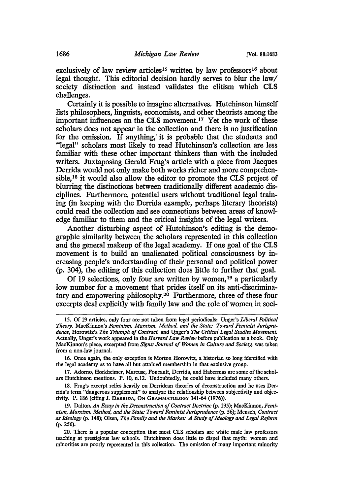exclusively of law review articles<sup>15</sup> written by law professors<sup>16</sup> about legal thought. This editorial decision hardly serves to blur the law/ society distinction and instead validates the elitism which CLS challenges.

Certainly it is possible to imagine alternatives. Hutchinson himself lists philosophers, linguists, economists, and other theorists among the important influences on the CLS movement.17 Yet the work of these scholars does not appear in the collection and there is no justification for the omission. If anything; it is probable that the students and "legal" scholars most likely to read Hutchinson's collection are less familiar with these other important thinkers than with the included writers. Juxtaposing Gerald Frug's article with a piece from Jacques Derrida would not only make both works richer and more comprehensible, 18 it would also allow the editor to promote the CLS project of blurring the distinctions between traditionally different academic disciplines. Furthermore, potential users without traditional legal training (in keeping with the Derrida example, perhaps literary theorists) could read the collection and see connections between areas of knowledge familiar to them and the critical insights of the legal writers.

Another disturbing aspect of Hutchinson's editing is the demographic similarity between the scholars represented in this collection and the general makeup of the legal academy. If one goal of the CLS movement is to build an unalienated political consciousness by increasing people's understanding of their personal and political power (p. 304), the editing of this collection does little to further that goal.

Of 19 selections, only four are written by women, 19 a particularly low number for a movement that prides itself on its anti-discriminatory and empowering philosophy.2° Furthermore, three of these four excerpts deal explicitly with family law and the role of women in soci-

18. Frug's excerpt relies heavily on Derridean theories of deconstruction and he uses Der· rida's term "dangerous supplement" to analyze the relationship between subjectivity and objectivity. P. 186 (citing J. DERRIDA, ON GRAMMATOLOGY 141-64 (1976)).

<sup>15.</sup> Of 19 articles, only four are not taken from legal periodicals: Unger's *Liberal Political Theory,* MacKinnon's *Feminism, Marxism, Method. and the State: Toward Feminist Jurisprudence,* Horowitz's *The Triumph of Contract,* and linger's *The Critical Legal Studies Movement.*  Actually, Unger's work appeared in the *Harvard Law Review* before publication as a book. Only MacKinnon's piece, excerpted from *Signs: Journal of Women in Culture and Society,* was taken from a non-law journal.

<sup>16.</sup> Once again, the only exception is Morton Horowitz, a historian so long identified with the legal academy as to have all but attained membership in that exclusive group.

<sup>17.</sup> Adorno, Horkheimer, Marcuse, Foucault, Derrida, and Habermas are some of the schol· ars Hutchinson mentions. P. 10, n.12. Undoubtedly, he could have included many others.

<sup>19.</sup> Dalton, *An Essay in the Deconstruction of Contract Doctrine* (p. 195); MacKinnon, *Femi· nism, Marxism, Method, and the State: Toward Feminist Jurisprudence* (p. 56); Mensch, *Contract as Ideology* (p. 148); Olsen, *The Family and the Market: A Study of Ideology and Legal Reform*  (p. 256).

<sup>20.</sup> There is a popular conception that most CLS scholars are white male law professors teaching at prestigious law schools. Hutchinson does little to dispel that myth: women and minorities are poorly represented in this collection. The omission of many important minority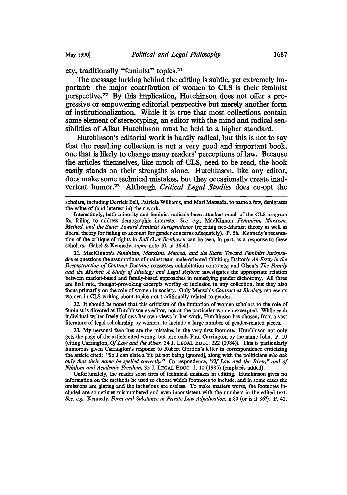ety, traditionally "feminist" topics.21

The message lurking behind the editing is subtle, yet extremely important: the major contribution of women to CLS is their feminist perspective.22 By this implication, Hutchinson does not offer a progressive or empowering editorial perspective but merely another form of institutionalization. While it is true that most collections contain some element of stereotyping, an editor with the mind and radical sensibilities of Allan Hutchinson must be held to a higher standard.

Hutchinson's editorial work is hardly radical, but this is not to say that the resulting collection is not a very good and important book, one that is likely to change many readers' perceptions of law. Because the articles themselves, like much of CLS, need to be read, the book easily stands on their strengths alone. Hutchinson, like any editor, does make some technical mistakes, but they occasionally create inadvertent humor.23 Although *Critical Legal Studies* does co-opt the

scholars, including Derrick Bell, Patricia Williams, and Mari Matsuda, to name a few, denigrates the value of (and interest in) their work.

Interestingly, both minority and feminist radicals have attacked much of the CLS program for failing to address demographic interests. *See, e.g.,* MacKinnon, *Feminism, Marxism, Method, and the State: Toward Feminist Jurisprudence* (rejecting nee-Marxist theory as well as liberal theory for failing to account for gender concerns adequately). P. 56. Kennedy's recantation of the critique of rights in *Roll Over Beethoven* can be seen, in part, as a response to these scholars. Gabel & Kennedy, *supra* note 10, at 36-41.

21. MacKinnon's *Feminism, Marxism, Method, and the State: Toward Feminist Jurisprudence* questions the assumptions of mainstream male-oriented thinking; Dalton's *An Essay in the Deconstruction of Contract Doctrine* reassesses cohabitation contracts; and Olsen's *The Family and the Market: A Study of Ideology and Legal Reform* investigates the appropriate relation between market-based and family-based approaches in remedying gender dichotomy. All three are first rate, thought-provoking excerpts worthy of inclusion in any collection, but they also focus primarily on the role of women in society. Only Mensch's *Contract as Ideology* represents women in CLS writing about topics not traditionally related to gender.

22. It should be noted that this criticism of the limitation of women scholars to the role of feminist is directed at Hutchinson as editor, not at the particular women excerpted. While each individual writer freely follows her own views in her work, Hutchinson has chosen, from a vast literature of legal scholarship by women, to include a large number of gender-related pieces.

23. My personal favorites are the mistakes in the very first footnote. Hutchinson not only gets the page of the article cited wrong, but also calls Paul Carrington by the name John. P. 10 (citing Carrington, *Of Law and the River,* 34 J. LEGAL EDUC. 222 (1984)). This is particularly humorous given Carrington's response to Robert Gordon's letter in correspondence criticizing the article cited: "So I can elate a bit [at not being ignored], along with the politicians *who ask only that their name be spelled correctly."* Correspondence, "Of Law and the River," and of *Nihilism and Academic Freedom,* 35 J. LEGAL EDUC. 1, 10 (1985) (emphasis added).

Unfortunately, the reader soon tires of technical mistakes in editing. Hutchinson gives no information on the methods he used to choose which footnotes to include, and in some cases the omissions are glaring and the inclusions are useless. To make matters worse, the footnotes included are sometimes misnumbered and even inconsistent with the numbers in the edited text. *See, e.g.,* Kennedy, *Form and Substance in Private Law Adjudication,* n.80 (or is it 86?). P. 42.